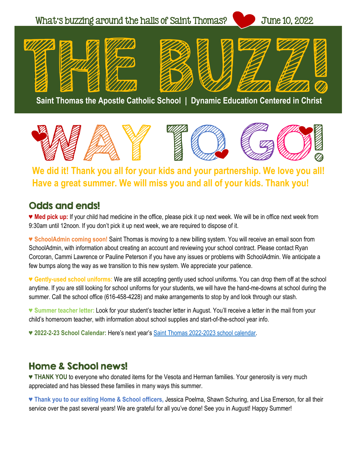



### **We did it! Thank you all for your kids and your partnership. We love you all! Have a great summer. We will miss you and all of your kids. Thank you!**

#### Odds and ends!

**♥ Med pick up:** If your child had medicine in the office, please pick it up next week. We will be in office next week from 9:30am until 12noon. If you don't pick it up next week, we are required to dispose of it.

**♥ SchoolAdmin coming soon!** Saint Thomas is moving to a new billing system. You will receive an email soon from SchoolAdmin, with information about creating an account and reviewing your school contract. Please contact Ryan Corcoran, Cammi Lawrence or Pauline Peterson if you have any issues or problems with SchoolAdmin. We anticipate a few bumps along the way as we transition to this new system. We appreciate your patience.

**♥ Gently-used school uniforms:** We are still accepting gently used school uniforms. You can drop them off at the school anytime. If you are still looking for school uniforms for your students, we will have the hand-me-downs at school during the summer. Call the school office (616-458-4228) and make arrangements to stop by and look through our stash.

**♥ Summer teacher letter:** Look for your student's teacher letter in August. You'll receive a letter in the mail from your child's homeroom teacher, with information about school supplies and start-of-the-school year info.

**♥ 2022-2-23 School Calendar:** Here's next year's [Saint Thomas 2022-2023 school calendar.](https://stthomasgr.org/wp-content/uploads/2022/01/FINAL-2021-22-school-calendar-parents_January2022.pdf)

### Home & School news!

**♥ THANK YOU** to everyone who donated items for the Vesota and Herman families. Your generosity is very much appreciated and has blessed these families in many ways this summer.

**♥ Thank you to our exiting Home & School officers,** Jessica Poelma, Shawn Schuring, and Lisa Emerson, for all their service over the past several years! We are grateful for all you've done! See you in August! Happy Summer!